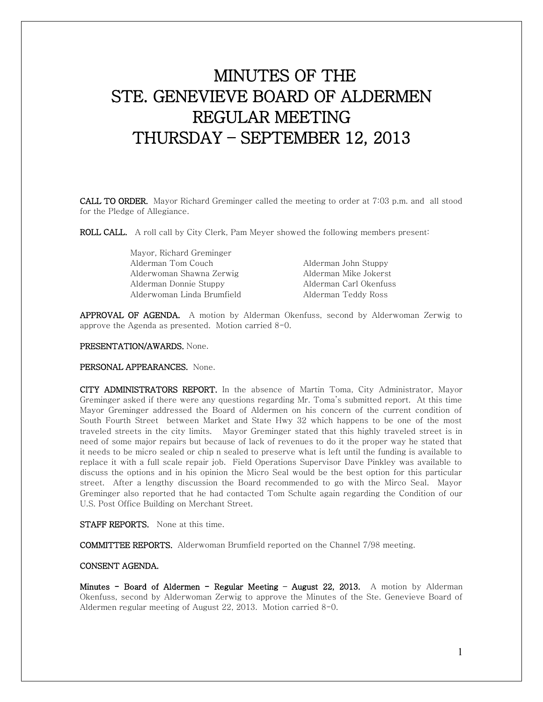# MINUTES OF THE STE. GENEVIEVE BOARD OF ALDERMEN REGULAR MEETING THURSDAY – SEPTEMBER 12, 2013

CALL TO ORDER. Mayor Richard Greminger called the meeting to order at 7:03 p.m. and all stood for the Pledge of Allegiance.

ROLL CALL. A roll call by City Clerk, Pam Meyer showed the following members present:

| Mayor, Richard Greminger   |                        |
|----------------------------|------------------------|
| Alderman Tom Couch         | Alderman John Stuppy   |
| Alderwoman Shawna Zerwig   | Alderman Mike Jokerst  |
| Alderman Donnie Stuppy     | Alderman Carl Okenfuss |
| Alderwoman Linda Brumfield | Alderman Teddy Ross    |

APPROVAL OF AGENDA. A motion by Alderman Okenfuss, second by Alderwoman Zerwig to approve the Agenda as presented. Motion carried 8-0.

PRESENTATION/AWARDS. None.

PERSONAL APPEARANCES. None.

CITY ADMINISTRATORS REPORT. In the absence of Martin Toma, City Administrator, Mayor Greminger asked if there were any questions regarding Mr. Toma's submitted report. At this time Mayor Greminger addressed the Board of Aldermen on his concern of the current condition of South Fourth Street between Market and State Hwy 32 which happens to be one of the most traveled streets in the city limits. Mayor Greminger stated that this highly traveled street is in need of some major repairs but because of lack of revenues to do it the proper way he stated that it needs to be micro sealed or chip n sealed to preserve what is left until the funding is available to replace it with a full scale repair job. Field Operations Supervisor Dave Pinkley was available to discuss the options and in his opinion the Micro Seal would be the best option for this particular street. After a lengthy discussion the Board recommended to go with the Mirco Seal. Mayor Greminger also reported that he had contacted Tom Schulte again regarding the Condition of our U.S. Post Office Building on Merchant Street.

STAFF REPORTS. None at this time.

COMMITTEE REPORTS. Alderwoman Brumfield reported on the Channel 7/98 meeting.

## CONSENT AGENDA.

Minutes - Board of Aldermen - Regular Meeting - August 22, 2013. A motion by Alderman Okenfuss, second by Alderwoman Zerwig to approve the Minutes of the Ste. Genevieve Board of Aldermen regular meeting of August 22, 2013. Motion carried 8-0.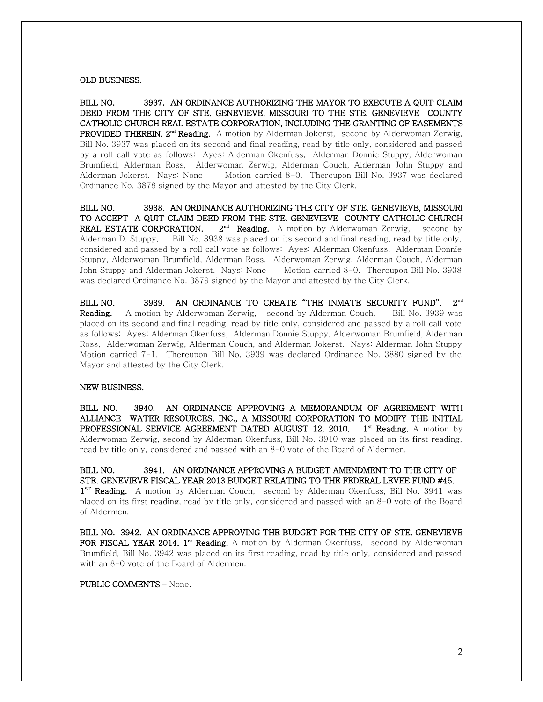#### OLD BUSINESS.

BILL NO. 3937. AN ORDINANCE AUTHORIZING THE MAYOR TO EXECUTE A QUIT CLAIM DEED FROM THE CITY OF STE. GENEVIEVE, MISSOURI TO THE STE. GENEVIEVE COUNTY CATHOLIC CHURCH REAL ESTATE CORPORATION, INCLUDING THE GRANTING OF EASEMENTS **PROVIDED THEREIN. 2<sup>nd</sup> Reading.** A motion by Alderman Jokerst, second by Alderwoman Zerwig, Bill No. 3937 was placed on its second and final reading, read by title only, considered and passed by a roll call vote as follows: Ayes: Alderman Okenfuss, Alderman Donnie Stuppy, Alderwoman Brumfield, Alderman Ross, Alderwoman Zerwig, Alderman Couch, Alderman John Stuppy and Alderman Jokerst. Nays: None Motion carried 8-0. Thereupon Bill No. 3937 was declared Ordinance No. 3878 signed by the Mayor and attested by the City Clerk.

BILL NO. 3938. AN ORDINANCE AUTHORIZING THE CITY OF STE. GENEVIEVE, MISSOURI TO ACCEPT A QUIT CLAIM DEED FROM THE STE. GENEVIEVE COUNTY CATHOLIC CHURCH REAL ESTATE CORPORATION. 2<sup>nd</sup> Reading. A motion by Alderwoman Zerwig, second by Alderman D. Stuppy, Bill No. 3938 was placed on its second and final reading, read by title only, considered and passed by a roll call vote as follows: Ayes: Alderman Okenfuss, Alderman Donnie Stuppy, Alderwoman Brumfield, Alderman Ross, Alderwoman Zerwig, Alderman Couch, Alderman John Stuppy and Alderman Jokerst. Nays: None Motion carried 8-0. Thereupon Bill No. 3938 was declared Ordinance No. 3879 signed by the Mayor and attested by the City Clerk.

BILL NO. 3939. AN ORDINANCE TO CREATE "THE INMATE SECURITY FUND". 2<sup>nd</sup> **Reading.** A motion by Alderwoman Zerwig, second by Alderman Couch, Bill No. 3939 was placed on its second and final reading, read by title only, considered and passed by a roll call vote as follows: Ayes: Alderman Okenfuss, Alderman Donnie Stuppy, Alderwoman Brumfield, Alderman Ross, Alderwoman Zerwig, Alderman Couch, and Alderman Jokerst. Nays: Alderman John Stuppy Motion carried 7-1. Thereupon Bill No. 3939 was declared Ordinance No. 3880 signed by the Mayor and attested by the City Clerk.

#### NEW BUSINESS.

BILL NO. 3940. AN ORDINANCE APPROVING A MEMORANDUM OF AGREEMENT WITH ALLIANCE WATER RESOURCES, INC., A MISSOURI CORPORATION TO MODIFY THE INITIAL PROFESSIONAL SERVICE AGREEMENT DATED AUGUST 12, 2010. 1<sup>st</sup> Reading. A motion by Alderwoman Zerwig, second by Alderman Okenfuss, Bill No. 3940 was placed on its first reading, read by title only, considered and passed with an 8-0 vote of the Board of Aldermen.

BILL NO. 3941. AN ORDINANCE APPROVING A BUDGET AMENDMENT TO THE CITY OF STE. GENEVIEVE FISCAL YEAR 2013 BUDGET RELATING TO THE FEDERAL LEVEE FUND #45. 1<sup>st</sup> Reading. A motion by Alderman Couch, second by Alderman Okenfuss, Bill No. 3941 was placed on its first reading, read by title only, considered and passed with an 8-0 vote of the Board of Aldermen.

BILL NO. 3942. AN ORDINANCE APPROVING THE BUDGET FOR THE CITY OF STE. GENEVIEVE FOR FISCAL YEAR 2014. 1<sup>st</sup> Reading. A motion by Alderman Okenfuss, second by Alderwoman Brumfield, Bill No. 3942 was placed on its first reading, read by title only, considered and passed with an 8-0 vote of the Board of Aldermen.

#### PUBLIC COMMENTS – None.